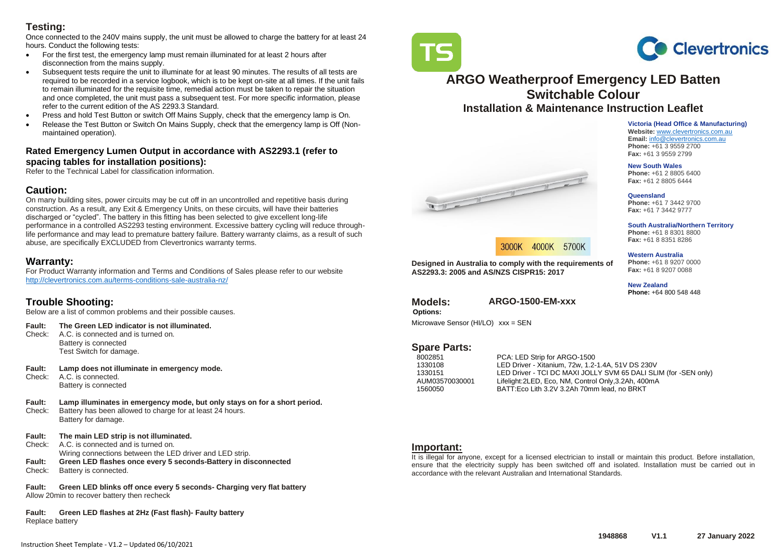# **Testing:**

Once connected to the 240V mains supply, the unit must be allowed to charge the battery for at least 24 hours. Conduct the following tests:

- For the first test, the emergency lamp must remain illuminated for at least 2 hours after disconnection from the mains supply.
- Subsequent tests require the unit to illuminate for at least 90 minutes. The results of all tests are required to be recorded in a service logbook, which is to be kept on-site at all times. If the unit fails to remain illuminated for the requisite time, remedial action must be taken to repair the situation and once completed, the unit must pass a subsequent test. For more specific information, please refer to the current edition of the AS 2293.3 Standard.
- Press and hold Test Button or switch Off Mains Supply, check that the emergency lamp is On.
- Release the Test Button or Switch On Mains Supply, check that the emergency lamp is Off (Nonmaintained operation).

#### **Rated Emergency Lumen Output in accordance with AS2293.1 (refer to spacing tables for installation positions):**

Refer to the Technical Label for classification information.

### **Caution:**

On many building sites, power circuits may be cut off in an uncontrolled and repetitive basis during construction. As a result, any Exit & Emergency Units, on these circuits, will have their batteries discharged or "cycled". The battery in this fitting has been selected to give excellent long-life performance in a controlled AS2293 testing environment. Excessive battery cycling will reduce throughlife performance and may lead to premature battery failure. Battery warranty claims, as a result of such abuse, are specifically EXCLUDED from Clevertronics warranty terms.

# **Warranty:**

For Product Warranty information and Terms and Conditions of Sales please refer to our website <http://clevertronics.com.au/terms-conditions-sale-australia-nz/>

# **Trouble Shooting:**

Below are a list of common problems and their possible causes.

#### **Fault: The Green LED indicator is not illuminated.**

- Check: A.C. is connected and is turned on. Battery is connected Test Switch for damage.
- **Fault: Lamp does not illuminate in emergency mode.**  A.C. is connected.
	- Battery is connected
- **Fault: Lamp illuminates in emergency mode, but only stays on for a short period.** Check: Battery has been allowed to charge for at least 24 hours. Battery for damage.
- **Fault: The main LED strip is not illuminated.**

Instruction Sheet Template - V1.2 – Updated 06/10/2021

- Check: A.C. is connected and is turned on.
	- Wiring connections between the LED driver and LED strip.
- **Fault: Green LED flashes once every 5 seconds-Battery in disconnected** Check: Battery is connected.

**Fault: Green LED blinks off once every 5 seconds- Charging very flat battery** Allow 20min to recover battery then recheck

**Fault: Green LED flashes at 2Hz (Fast flash)- Faulty battery** Replace battery

# **ARGO Weatherproof Emergency LED Batten Switchable Colour Installation & Maintenance Instruction Leaflet**

**Victoria (Head Office & Manufacturing) Website:** [www.clevertronics.com.au](http://www.clevertronics.com.au/) **Email:** info@clevertronics.com.au **Phone:** +61 3 9559 2700 **Fax:** +61 3 9559 2799

#### **New South Wales**

**Phone:** +61 2 8805 6400 **Fax:** +61 2 8805 6444

**Queensland**

**Phone:** +61 7 3442 9700 **Fax:** +61 7 3442 9777

#### **South Australia/Northern Territory**

**Phone:** +61 8 8301 8800 **Fax:** +61 8 8351 8286

#### **Western Australia**

**Phone:** +61 8 9207 0000 **Fax:** +61 8 9207 0088

**New Zealand**

**Phone:** +64 800 548 448

#### **Designed in Australia to comply with the requirements of AS2293.3: 2005 and AS/NZS CISPR15: 2017**

3000K 4000K 5700K

**Models: ARGO-1500-EM-xxx** 

**Options:** Microwave Sensor (HI/LO) xxx = SEN

# Spare Parts:<br>8002851

8002851 PCA: LED Strip for ARGO-1500<br>1330108 LED Driver - Xitanium, 72w, 1.2 LED Driver - Xitanium, 72w, 1.2-1.4A, 51V DS 230V 1330151 LED Driver - TCI DC MAXI JOLLY SVM 65 DALI SLIM (for -SEN only)<br>AUM03570030001 Lifelight: 2LED. Eco. NM. Control Only 3.2Ah. 400mA Lifelight:2LED, Eco, NM, Control Only,3.2Ah, 400mA 1560050 BATT:Eco Lith 3.2V 3.2Ah 70mm lead, no BRKT

### **Important:**

It is illegal for anyone, except for a licensed electrician to install or maintain this product. Before installation, ensure that the electricity supply has been switched off and isolated. Installation must be carried out in accordance with the relevant Australian and International Standards.